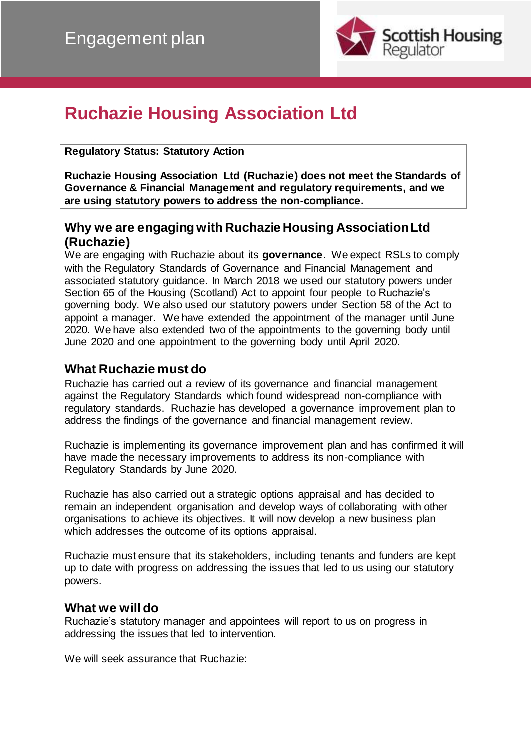

# **Ruchazie Housing Association Ltd**

#### **Regulatory Status: Statutory Action**

**Ruchazie Housing Association Ltd (Ruchazie) does not meet the Standards of Governance & Financial Management and regulatory requirements, and we are using statutory powers to address the non-compliance.**

## **Why we are engaging with Ruchazie Housing Association Ltd (Ruchazie)**

We are engaging with Ruchazie about its **governance**. We expect RSLs to comply with the Regulatory Standards of Governance and Financial Management and associated statutory guidance. In March 2018 we used our statutory powers under Section 65 of the Housing (Scotland) Act to appoint four people to Ruchazie's governing body. We also used our statutory powers under Section 58 of the Act to appoint a manager. We have extended the appointment of the manager until June 2020. We have also extended two of the appointments to the governing body until June 2020 and one appointment to the governing body until April 2020.

## **What Ruchazie must do**

Ruchazie has carried out a review of its governance and financial management against the Regulatory Standards which found widespread non-compliance with regulatory standards. Ruchazie has developed a governance improvement plan to address the findings of the governance and financial management review.

Ruchazie is implementing its governance improvement plan and has confirmed it will have made the necessary improvements to address its non-compliance with Regulatory Standards by June 2020.

Ruchazie has also carried out a strategic options appraisal and has decided to remain an independent organisation and develop ways of collaborating with other organisations to achieve its objectives. It will now develop a new business plan which addresses the outcome of its options appraisal.

Ruchazie must ensure that its stakeholders, including tenants and funders are kept up to date with progress on addressing the issues that led to us using our statutory powers.

### **What we will do**

Ruchazie's statutory manager and appointees will report to us on progress in addressing the issues that led to intervention.

We will seek assurance that Ruchazie: